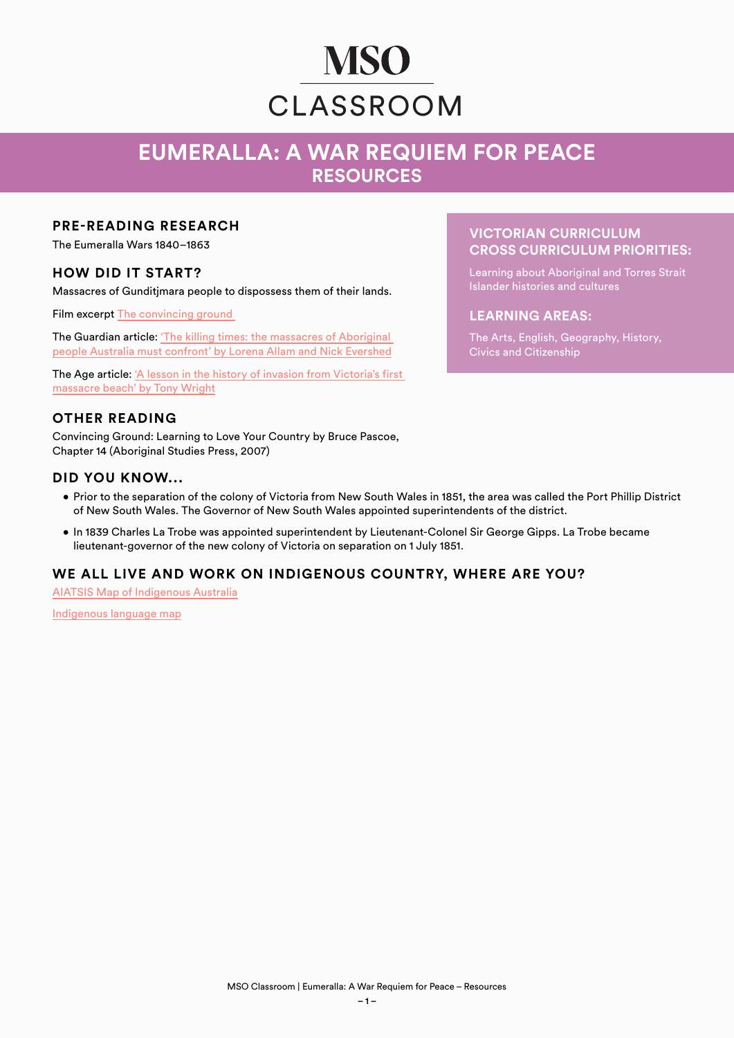# **MSO** CLASSROOM

# **EUMERALLA: A WAR REQUIEM FOR PEACE RESOURCES**

### **PRE-READING RESEARCH**

The Eumeralla Wars 1840–1863

## **HOW DID IT START?**

Massacres of Gunditimara people to dispossess them of their lands.

Film excerpt [The convincing ground](https://aso.gov.au/titles/tv/the-convincing-ground/clip1/) 

The Guardian article: ['The killing times: the massacres of Aboriginal](https://www.theguardian.com/australia-news/2019/mar/04/the-killing-times-the-massacres-of-aboriginal-people-australia-must-confront)  [people Australia must confront' by Lorena Allam and Nick Evershed](https://www.theguardian.com/australia-news/2019/mar/04/the-killing-times-the-massacres-of-aboriginal-people-australia-must-confront)

The Age article: ['A lesson in the history of invasion from Victoria's first](https://www.theage.com.au/national/victoria/a-lesson-in-the-history-of-invasion-from-victoria-s-first-massacre-beach-20210126-p56wwq.html)  [massacre beach' by Tony Wright](https://www.theage.com.au/national/victoria/a-lesson-in-the-history-of-invasion-from-victoria-s-first-massacre-beach-20210126-p56wwq.html)

#### **OTHER READING**

Convincing Ground: Learning to Love Your Country by Bruce Pascoe, Chapter 14 (Aboriginal Studies Press, 2007)

#### **DID YOU KNOW...**

- Prior to the separation of the colony of Victoria from New South Wales in 1851, the area was called the Port Phillip District of New South Wales. The Governor of New South Wales appointed superintendents of the district.
- In 1839 Charles La Trobe was appointed superintendent by Lieutenant-Colonel Sir George Gipps. La Trobe became lieutenant-governor of the new colony of Victoria on separation on 1 July 1851.

#### **WE ALL LIVE AND WORK ON INDIGENOUS COUNTRY, WHERE ARE YOU?**

[AIATSIS Map of Indigenous Australia](https://aiatsis.gov.au/explore/map-indigenous-australia)

[Indigenous language map](https://gambay.com.au/)

#### **VICTORIAN CURRICULUM CROSS CURRICULUM PRIORITIES:**

Learning about Aboriginal and Torres Strait Islander histories and cultures

#### **LEARNING AREAS:**

The Arts, English, Geography, History, Civics and Citizenship